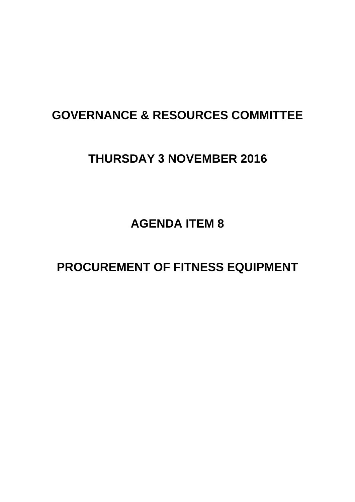# **GOVERNANCE & RESOURCES COMMITTEE**

# **THURSDAY 3 NOVEMBER 2016**

**AGENDA ITEM 8**

**PROCUREMENT OF FITNESS EQUIPMENT**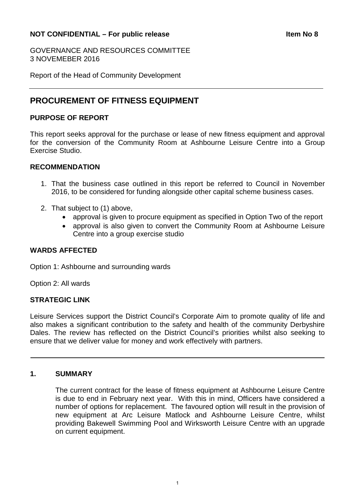### **NOT CONFIDENTIAL – For public release Internal contract and the Item No 8**

GOVERNANCE AND RESOURCES COMMITTEE 3 NOVEMEBER 2016

Report of the Head of Community Development

## **PROCUREMENT OF FITNESS EQUIPMENT**

#### **PURPOSE OF REPORT**

This report seeks approval for the purchase or lease of new fitness equipment and approval for the conversion of the Community Room at Ashbourne Leisure Centre into a Group Exercise Studio.

#### **RECOMMENDATION**

- 1. That the business case outlined in this report be referred to Council in November 2016, to be considered for funding alongside other capital scheme business cases.
- 2. That subject to (1) above,
	- approval is given to procure equipment as specified in Option Two of the report
	- approval is also given to convert the Community Room at Ashbourne Leisure Centre into a group exercise studio

#### **WARDS AFFECTED**

Option 1: Ashbourne and surrounding wards

Option 2: All wards

#### **STRATEGIC LINK**

Leisure Services support the District Council's Corporate Aim to promote quality of life and also makes a significant contribution to the safety and health of the community Derbyshire Dales. The review has reflected on the District Council's priorities whilst also seeking to ensure that we deliver value for money and work effectively with partners.

#### **1. SUMMARY**

The current contract for the lease of fitness equipment at Ashbourne Leisure Centre is due to end in February next year. With this in mind, Officers have considered a number of options for replacement. The favoured option will result in the provision of new equipment at Arc Leisure Matlock and Ashbourne Leisure Centre, whilst providing Bakewell Swimming Pool and Wirksworth Leisure Centre with an upgrade on current equipment.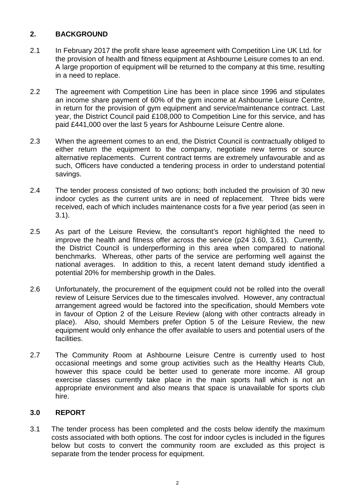## **2. BACKGROUND**

- 2.1 In February 2017 the profit share lease agreement with Competition Line UK Ltd. for the provision of health and fitness equipment at Ashbourne Leisure comes to an end. A large proportion of equipment will be returned to the company at this time, resulting in a need to replace.
- 2.2 The agreement with Competition Line has been in place since 1996 and stipulates an income share payment of 60% of the gym income at Ashbourne Leisure Centre, in return for the provision of gym equipment and service/maintenance contract. Last year, the District Council paid £108,000 to Competition Line for this service, and has paid £441,000 over the last 5 years for Ashbourne Leisure Centre alone.
- 2.3 When the agreement comes to an end, the District Council is contractually obliged to either return the equipment to the company, negotiate new terms or source alternative replacements. Current contract terms are extremely unfavourable and as such, Officers have conducted a tendering process in order to understand potential savings.
- 2.4 The tender process consisted of two options; both included the provision of 30 new indoor cycles as the current units are in need of replacement. Three bids were received, each of which includes maintenance costs for a five year period (as seen in 3.1).
- 2.5 As part of the Leisure Review, the consultant's report highlighted the need to improve the health and fitness offer across the service (p24 3.60, 3.61). Currently, the District Council is underperforming in this area when compared to national benchmarks. Whereas, other parts of the service are performing well against the national averages. In addition to this, a recent latent demand study identified a potential 20% for membership growth in the Dales.
- 2.6 Unfortunately, the procurement of the equipment could not be rolled into the overall review of Leisure Services due to the timescales involved. However, any contractual arrangement agreed would be factored into the specification, should Members vote in favour of Option 2 of the Leisure Review (along with other contracts already in place). Also, should Members prefer Option 5 of the Leisure Review, the new equipment would only enhance the offer available to users and potential users of the facilities.
- 2.7 The Community Room at Ashbourne Leisure Centre is currently used to host occasional meetings and some group activities such as the Healthy Hearts Club, however this space could be better used to generate more income. All group exercise classes currently take place in the main sports hall which is not an appropriate environment and also means that space is unavailable for sports club hire.

## **3.0 REPORT**

3.1 The tender process has been completed and the costs below identify the maximum costs associated with both options. The cost for indoor cycles is included in the figures below but costs to convert the community room are excluded as this project is separate from the tender process for equipment.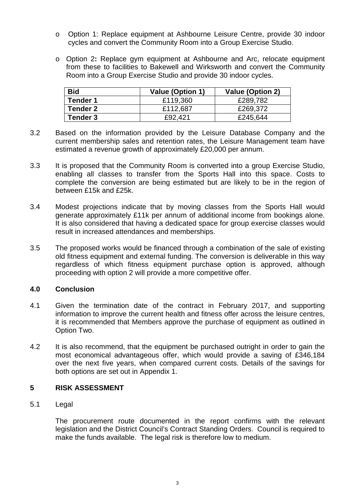- o Option 1: Replace equipment at Ashbourne Leisure Centre, provide 30 indoor cycles and convert the Community Room into a Group Exercise Studio.
- o Option 2**:** Replace gym equipment at Ashbourne and Arc, relocate equipment from these to facilities to Bakewell and Wirksworth and convert the Community Room into a Group Exercise Studio and provide 30 indoor cycles.

| <b>Bid</b>      | <b>Value (Option 1)</b> | <b>Value (Option 2)</b> |
|-----------------|-------------------------|-------------------------|
| <b>Tender 1</b> | £119,360                | £289,782                |
| Tender 2        | £112,687                | £269,372                |
| Tender 3        | £92.421                 | £245,644                |

- 3.2 Based on the information provided by the Leisure Database Company and the current membership sales and retention rates, the Leisure Management team have estimated a revenue growth of approximately £20,000 per annum.
- 3.3 It is proposed that the Community Room is converted into a group Exercise Studio, enabling all classes to transfer from the Sports Hall into this space. Costs to complete the conversion are being estimated but are likely to be in the region of between £15k and £25k.
- 3.4 Modest projections indicate that by moving classes from the Sports Hall would generate approximately £11k per annum of additional income from bookings alone. It is also considered that having a dedicated space for group exercise classes would result in increased attendances and memberships.
- 3.5 The proposed works would be financed through a combination of the sale of existing old fitness equipment and external funding. The conversion is deliverable in this way regardless of which fitness equipment purchase option is approved, although proceeding with option 2 will provide a more competitive offer.

## **4.0 Conclusion**

- 4.1 Given the termination date of the contract in February 2017, and supporting information to improve the current health and fitness offer across the leisure centres, it is recommended that Members approve the purchase of equipment as outlined in Option Two.
- 4.2 It is also recommend, that the equipment be purchased outright in order to gain the most economical advantageous offer, which would provide a saving of £346,184 over the next five years, when compared current costs. Details of the savings for both options are set out in Appendix 1.

#### **5 RISK ASSESSMENT**

5.1 Legal

The procurement route documented in the report confirms with the relevant legislation and the District Council's Contract Standing Orders. Council is required to make the funds available. The legal risk is therefore low to medium.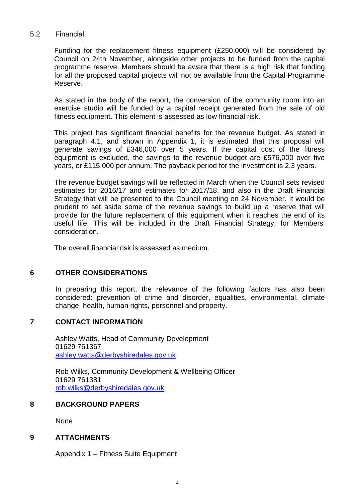#### 5.2 Financial

Funding for the replacement fitness equipment (£250,000) will be considered by Council on 24th November, alongside other projects to be funded from the capital programme reserve. Members should be aware that there is a high risk that funding for all the proposed capital projects will not be available from the Capital Programme Reserve.

As stated in the body of the report, the conversion of the community room into an exercise studio will be funded by a capital receipt generated from the sale of old fitness equipment. This element is assessed as low financial risk.

This project has significant financial benefits for the revenue budget. As stated in paragraph 4.1, and shown in Appendix 1, it is estimated that this proposal will generate savings of £346,000 over 5 years. If the capital cost of the fitness equipment is excluded, the savings to the revenue budget are £576,000 over five years, or £115,000 per annum. The payback period for the investment is 2.3 years.

The revenue budget savings will be reflected in March when the Council sets revised estimates for 2016/17 and estimates for 2017/18, and also in the Draft Financial Strategy that will be presented to the Council meeting on 24 November. It would be prudent to set aside some of the revenue savings to build up a reserve that will provide for the future replacement of this equipment when it reaches the end of its useful life. This will be included in the Draft Financial Strategy, for Members' consideration.

The overall financial risk is assessed as medium.

#### **6 OTHER CONSIDERATIONS**

In preparing this report, the relevance of the following factors has also been considered: prevention of crime and disorder, equalities, environmental, climate change, health, human rights, personnel and property.

#### **7 CONTACT INFORMATION**

Ashley Watts, Head of Community Development 01629 761367 [ashley.watts@derbyshiredales.gov.uk](mailto:ashley.watts@derbyshiredales.gov.uk)

Rob Wilks, Community Development & Wellbeing Officer 01629 761381 [rob.wilks@derbyshiredales.gov.uk](mailto:rob.wilks@derbyshiredales.gov.uk)

#### **8 BACKGROUND PAPERS**

None

#### **9 ATTACHMENTS**

Appendix 1 – Fitness Suite Equipment